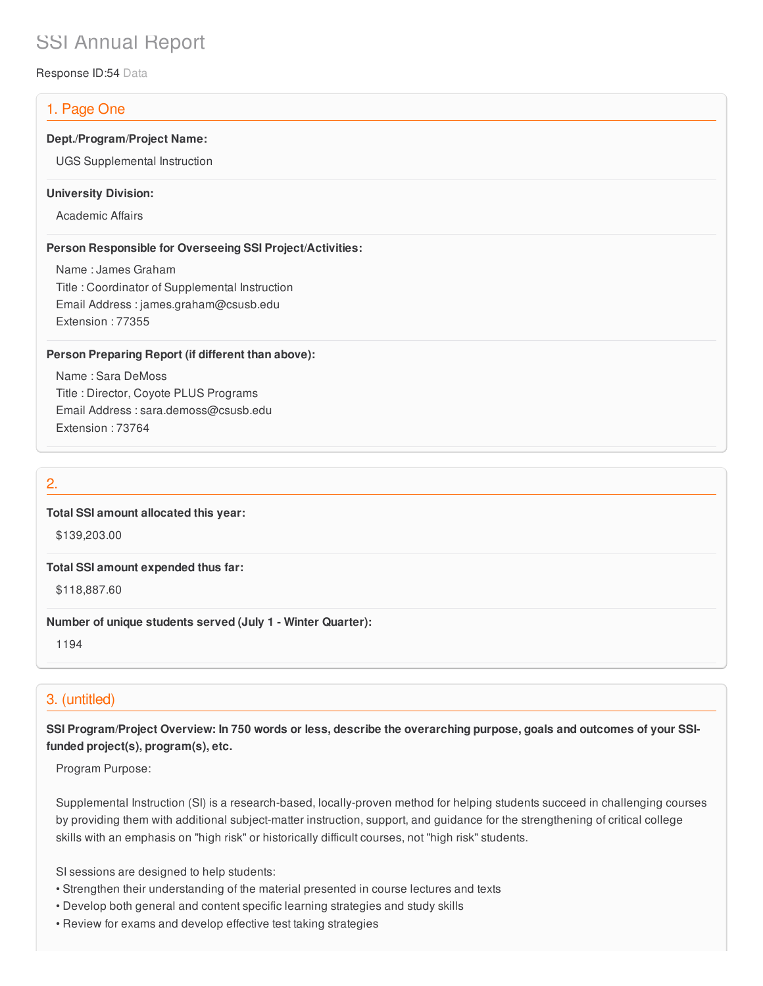# SSI Annual Report

Response ID:54 Data

## 1. Page One

#### **Dept./Program/Project Name:**

UGS Supplemental Instruction

#### **University Division:**

Academic Affairs

#### **Person Responsible for Overseeing SSI Project/Activities:**

Name : James Graham Title : Coordinator of Supplemental Instruction Email Address : james.graham@csusb.edu Extension : 77355

#### **Person Preparing Report (if different than above):**

Name : Sara DeMoss Title : Director, Coyote PLUS Programs Email Address : sara.demoss@csusb.edu Extension : 73764

## 2.

#### **Total SSI amount allocated this year:**

\$139,203.00

#### **Total SSI amount expended thus far:**

\$118,887.60

#### **Number of unique students served (July 1 - Winter Quarter):**

1194

## 3. (untitled)

SSI Program/Project Overview: In 750 words or less, describe the overarching purpose, goals and outcomes of your SSI**funded project(s), program(s), etc.**

Program Purpose:

Supplemental Instruction (SI) is a research-based, locally-proven method for helping students succeed in challenging courses by providing them with additional subject-matter instruction, support, and guidance for the strengthening of critical college skills with an emphasis on "high risk" or historically difficult courses, not "high risk" students.

SI sessions are designed to help students:

- Strengthen their understanding of the material presented in course lectures and texts
- Develop both general and content specific learning strategies and study skills
- Review for exams and develop effective test taking strategies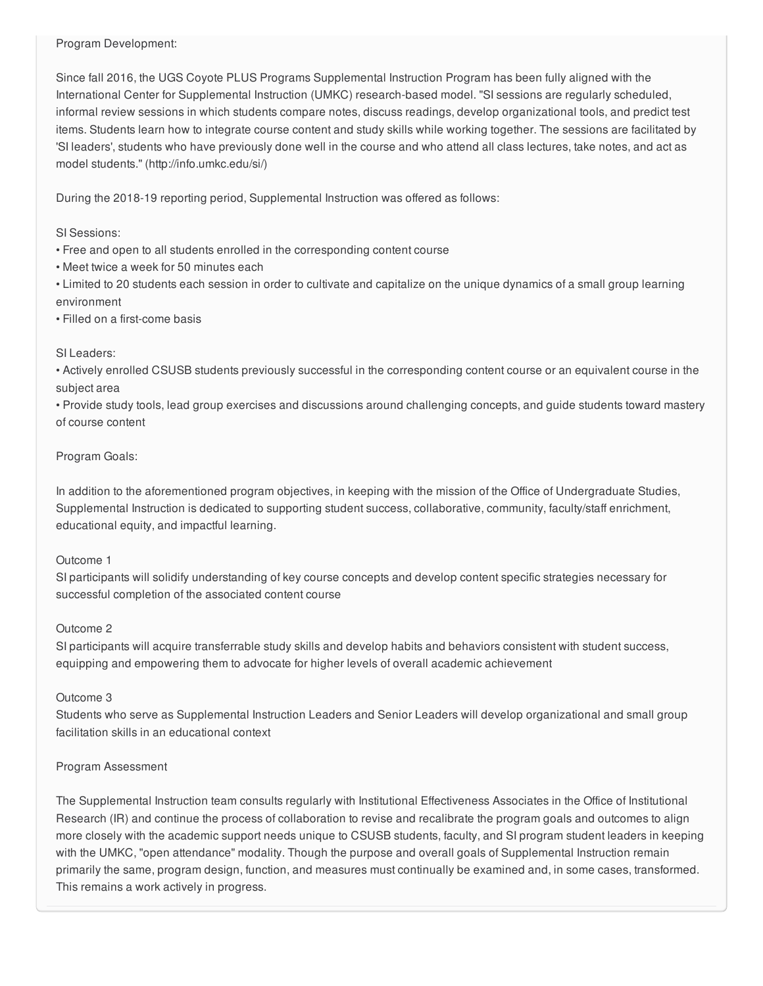Program Development:

Since fall 2016, the UGS Coyote PLUS Programs Supplemental Instruction Program has been fully aligned with the International Center for Supplemental Instruction (UMKC) research-based model. "SI sessions are regularly scheduled, informal review sessions in which students compare notes, discuss readings, develop organizational tools, and predict test items. Students learn how to integrate course content and study skills while working together. The sessions are facilitated by 'SI leaders', students who have previously done well in the course and who attend all class lectures, take notes, and act as model students." (http://info.umkc.edu/si/)

During the 2018-19 reporting period, Supplemental Instruction was offered as follows:

SI Sessions:

- Free and open to all students enrolled in the corresponding content course
- Meet twice a week for 50 minutes each
- Limited to 20 students each session in order to cultivate and capitalize on the unique dynamics of a small group learning environment
- Filled on a first-come basis

#### SI Leaders:

• Actively enrolled CSUSB students previously successful in the corresponding content course or an equivalent course in the subject area

• Provide study tools, lead group exercises and discussions around challenging concepts, and guide students toward mastery of course content

#### Program Goals:

In addition to the aforementioned program objectives, in keeping with the mission of the Office of Undergraduate Studies, Supplemental Instruction is dedicated to supporting student success, collaborative, community, faculty/staff enrichment, educational equity, and impactful learning.

#### Outcome 1

SI participants will solidify understanding of key course concepts and develop content specific strategies necessary for successful completion of the associated content course

## Outcome 2

SI participants will acquire transferrable study skills and develop habits and behaviors consistent with student success, equipping and empowering them to advocate for higher levels of overall academic achievement

## Outcome 3

Students who serve as Supplemental Instruction Leaders and Senior Leaders will develop organizational and small group facilitation skills in an educational context

## Program Assessment

The Supplemental Instruction team consults regularly with Institutional Effectiveness Associates in the Office of Institutional Research (IR) and continue the process of collaboration to revise and recalibrate the program goals and outcomes to align more closely with the academic support needs unique to CSUSB students, faculty, and SI program student leaders in keeping with the UMKC, "open attendance" modality. Though the purpose and overall goals of Supplemental Instruction remain primarily the same, program design, function, and measures must continually be examined and, in some cases, transformed. This remains a work actively in progress.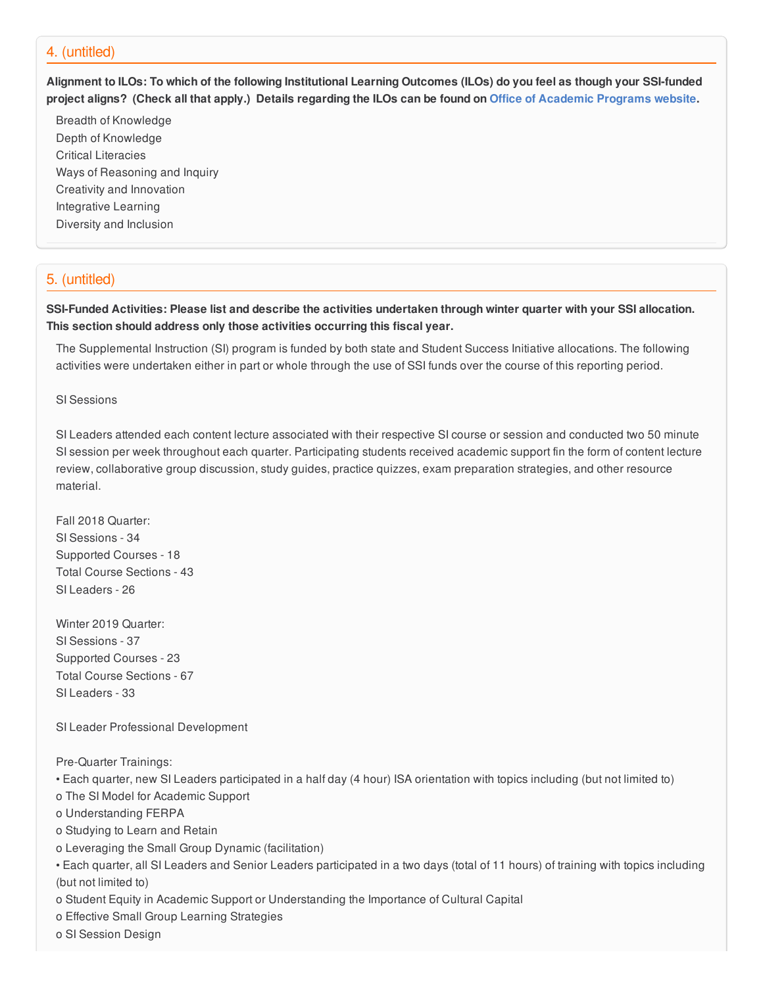#### 4. (untitled)

Alignment to ILOs: To which of the following Institutional Learning Outcomes (ILOs) do you feel as though your SSI-funded project aligns? (Check all that apply.) Details regarding the ILOs can be found on Office of [Academic](https://www.csusb.edu/sites/csusb/files/CSUSB_Institutional_Learning_Outcomes-Endorsed.pdf) Programs website.

Breadth of Knowledge Depth of Knowledge Critical Literacies Ways of Reasoning and Inquiry Creativity and Innovation Integrative Learning Diversity and Inclusion

## 5. (untitled)

SSI-Funded Activities: Please list and describe the activities undertaken through winter quarter with your SSI allocation. **This section should address only those activities occurring this fiscal year.**

The Supplemental Instruction (SI) program is funded by both state and Student Success Initiative allocations. The following activities were undertaken either in part or whole through the use of SSI funds over the course of this reporting period.

SI Sessions

SI Leaders attended each content lecture associated with their respective SI course or session and conducted two 50 minute SI session per week throughout each quarter. Participating students received academic support fin the form of content lecture review, collaborative group discussion, study guides, practice quizzes, exam preparation strategies, and other resource material.

Fall 2018 Quarter: SI Sessions - 34 Supported Courses - 18 Total Course Sections - 43 SI Leaders - 26

Winter 2019 Quarter: SI Sessions - 37 Supported Courses - 23 Total Course Sections - 67 SI Leaders - 33

SI Leader Professional Development

Pre-Quarter Trainings:

• Each quarter, new SI Leaders participated in a half day (4 hour) ISA orientation with topics including (but not limited to)

o The SI Model for Academic Support

o Understanding FERPA

o Studying to Learn and Retain

- o Leveraging the Small Group Dynamic (facilitation)
- Each quarter, all SI Leaders and Senior Leaders participated in a two days (total of 11 hours) of training with topics including (but not limited to)
- o Student Equity in Academic Support or Understanding the Importance of Cultural Capital

o Effective Small Group Learning Strategies

o SI Session Design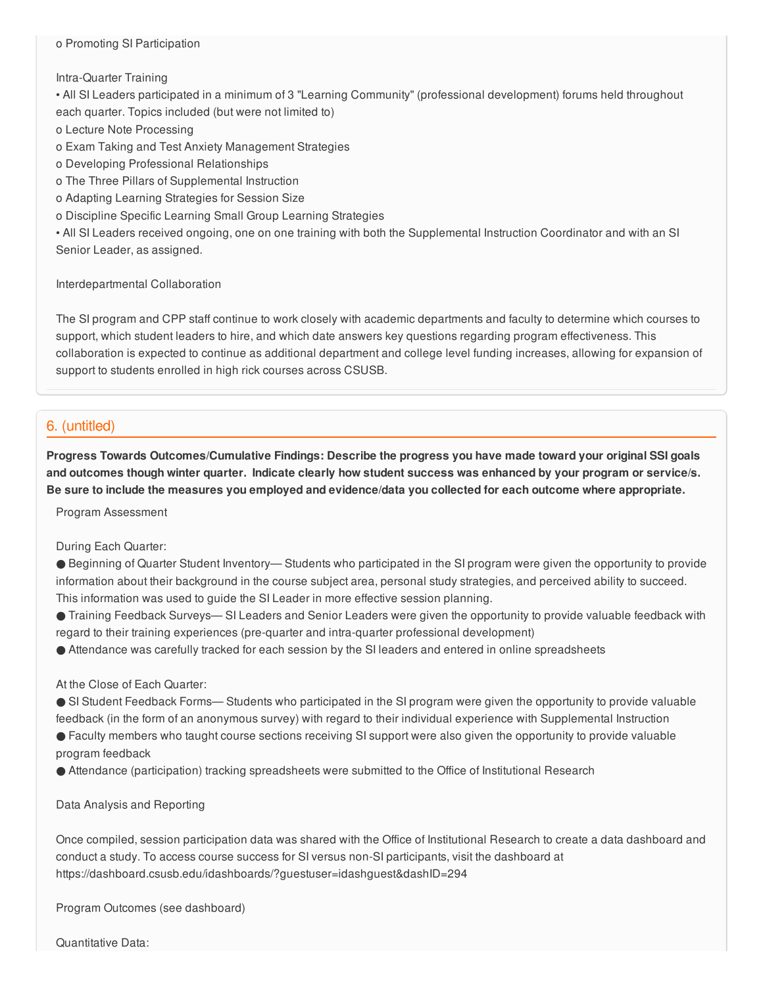#### o Promoting SI Participation

#### Intra-Quarter Training

• All SI Leaders participated in a minimum of 3 "Learning Community" (professional development) forums held throughout each quarter. Topics included (but were not limited to)

o Lecture Note Processing

o Exam Taking and Test Anxiety Management Strategies

o Developing Professional Relationships

o The Three Pillars of Supplemental Instruction

o Adapting Learning Strategies for Session Size

o Discipline Specific Learning Small Group Learning Strategies

• All SI Leaders received ongoing, one on one training with both the Supplemental Instruction Coordinator and with an SI Senior Leader, as assigned.

Interdepartmental Collaboration

The SI program and CPP staff continue to work closely with academic departments and faculty to determine which courses to support, which student leaders to hire, and which date answers key questions regarding program effectiveness. This collaboration is expected to continue as additional department and college level funding increases, allowing for expansion of support to students enrolled in high rick courses across CSUSB.

## 6. (untitled)

**Progress Towards Outcomes/Cumulative Findings: Describe the progress you have made toward your original SSI goals** and outcomes though winter quarter. Indicate clearly how student success was enhanced by your program or service/s. Be sure to include the measures you employed and evidence/data you collected for each outcome where appropriate.

Program Assessment

#### During Each Quarter:

● Beginning of Quarter Student Inventory— Students who participated in the SI program were given the opportunity to provide information about their background in the course subject area, personal study strategies, and perceived ability to succeed. This information was used to guide the SI Leader in more effective session planning.

● Training Feedback Surveys— SI Leaders and Senior Leaders were given the opportunity to provide valuable feedback with regard to their training experiences (pre-quarter and intra-quarter professional development)

● Attendance was carefully tracked for each session by the SI leaders and entered in online spreadsheets

At the Close of Each Quarter:

● SI Student Feedback Forms— Students who participated in the SI program were given the opportunity to provide valuable feedback (in the form of an anonymous survey) with regard to their individual experience with Supplemental Instruction

● Faculty members who taught course sections receiving SI support were also given the opportunity to provide valuable program feedback

● Attendance (participation) tracking spreadsheets were submitted to the Office of Institutional Research

Data Analysis and Reporting

Once compiled, session participation data was shared with the Office of Institutional Research to create a data dashboard and conduct a study. To access course success for SI versus non-SI participants, visit the dashboard at https://dashboard.csusb.edu/idashboards/?guestuser=idashguest&dashID=294

Program Outcomes (see dashboard)

Quantitative Data: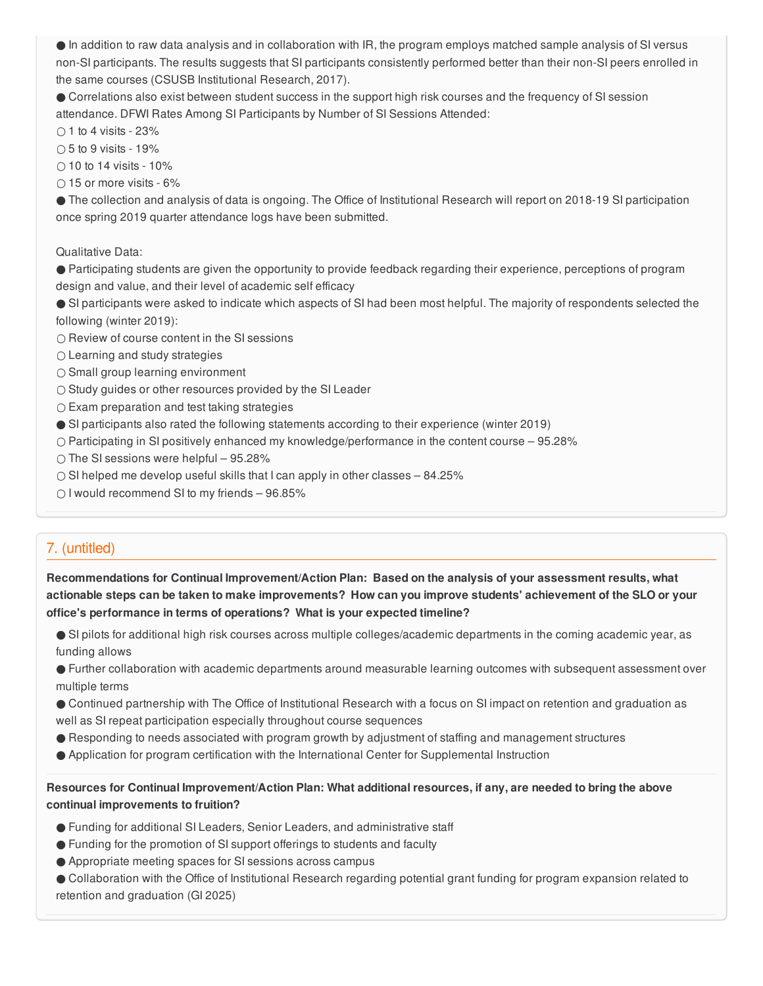● In addition to raw data analysis and in collaboration with IR, the program employs matched sample analysis of SI versus non-SI participants. The results suggests that SI participants consistently performed better than their non-SI peers enrolled in the same courses (CSUSB Institutional Research, 2017).

● Correlations also exist between student success in the support high risk courses and the frequency of SI session attendance. DFWI Rates Among SI Participants by Number of SI Sessions Attended:

 $\bigcirc$  1 to 4 visits - 23%

 $\bigcap$  5 to 9 visits - 19%

 $\bigcirc$  10 to 14 visits - 10%

 $\bigcirc$  15 or more visits - 6%

● The collection and analysis of data is ongoing. The Office of Institutional Research will report on 2018-19 SI participation once spring 2019 quarter attendance logs have been submitted.

Qualitative Data:

● Participating students are given the opportunity to provide feedback regarding their experience, perceptions of program design and value, and their level of academic self efficacy

● SI participants were asked to indicate which aspects of SI had been most helpful. The majority of respondents selected the following (winter 2019):

○ Review of course content in the SI sessions

○ Learning and study strategies

○ Small group learning environment

○ Study guides or other resources provided by the SI Leader

 $\circ$  Exam preparation and test taking strategies

● SI participants also rated the following statements according to their experience (winter 2019)

○ Participating in SI positively enhanced my knowledge/performance in the content course – 95.28%

○ The SI sessions were helpful – 95.28%

 $\circ$  SI helped me develop useful skills that I can apply in other classes – 84.25%

○ I would recommend SI to my friends – 96.85%

# 7. (untitled)

**Recommendations for Continual Improvement/Action Plan: Based on the analysis of your assessment results, what** actionable steps can be taken to make improvements? How can you improve students' achievement of the SLO or your **office's performance in terms of operations? What is your expected timeline?**

● SI pilots for additional high risk courses across multiple colleges/academic departments in the coming academic year, as funding allows

● Further collaboration with academic departments around measurable learning outcomes with subsequent assessment over multiple terms

● Continued partnership with The Office of Institutional Research with a focus on SI impact on retention and graduation as well as SI repeat participation especially throughout course sequences

- Responding to needs associated with program growth by adjustment of staffing and management structures
- Application for program certification with the International Center for Supplemental Instruction

Resources for Continual Improvement/Action Plan: What additional resources, if any, are needed to bring the above **continual improvements to fruition?**

- Funding for additional SI Leaders, Senior Leaders, and administrative staff
- Funding for the promotion of SI support offerings to students and faculty
- Appropriate meeting spaces for SI sessions across campus

● Collaboration with the Office of Institutional Research regarding potential grant funding for program expansion related to retention and graduation (GI 2025)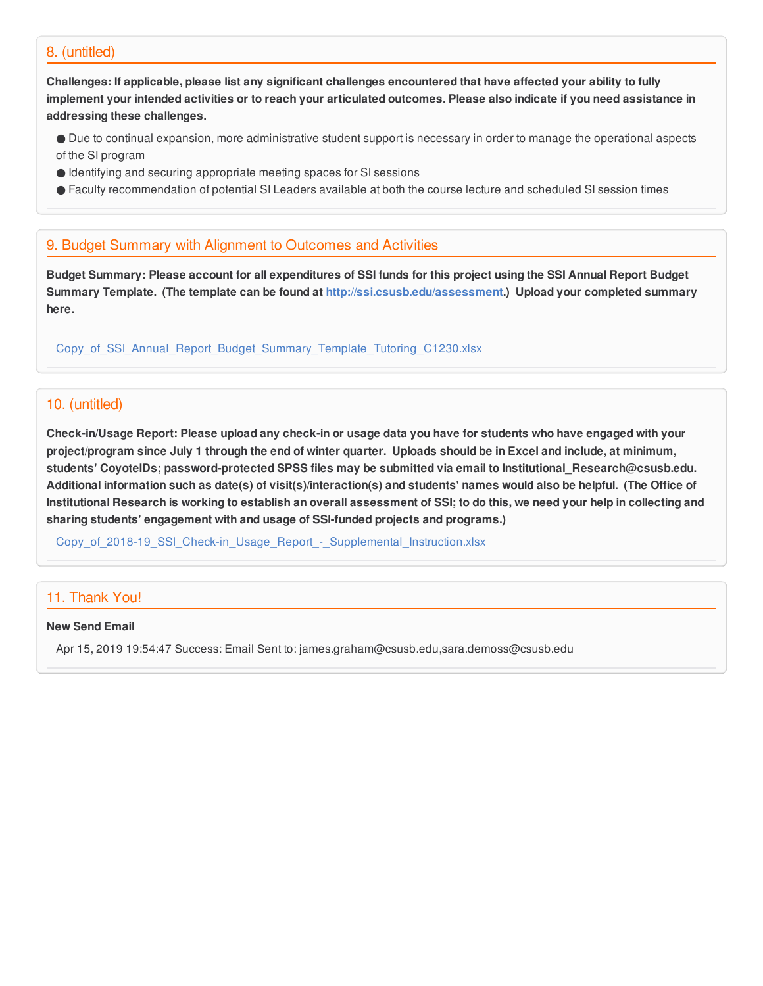#### 8. (untitled)

Challenges: If applicable, please list any significant challenges encountered that have affected your ability to fully implement your intended activities or to reach your articulated outcomes. Please also indicate if you need assistance in **addressing these challenges.**

- Due to continual expansion, more administrative student support is necessary in order to manage the operational aspects of the SI program
- Identifying and securing appropriate meeting spaces for SI sessions
- Faculty recommendation of potential SI Leaders available at both the course lecture and scheduled SI session times

## 9. Budget Summary with Alignment to Outcomes and Activities

Budget Summary: Please account for all expenditures of SSI funds for this project using the SSI Annual Report Budget **Summary Template. (The template can be found at <http://ssi.csusb.edu/assessment>.) Upload your completed summary here.**

[Copy\\_of\\_SSI\\_Annual\\_Report\\_Budget\\_Summary\\_Template\\_Tutoring\\_C1230.xlsx](https://surveygizmoresponseuploads.s3.amazonaws.com/fileuploads/98679/3939151/161-af8e7a785c26a3423d72d84c344edde4_Copy_of_SSI_Annual_Report_Budget_Summary_Template_Tutoring_C1230.xlsx)

## 10. (untitled)

Check-in/Usage Report: Please upload any check-in or usage data you have for students who have engaged with your project/program since July 1 through the end of winter quarter. Uploads should be in Excel and include, at minimum, **students' CoyoteIDs; password-protected SPSS files may be submitted via email to Institutional\_Research@csusb.edu.** Additional information such as date(s) of visit(s)/interaction(s) and students' names would also be helpful. (The Office of Institutional Research is working to establish an overall assessment of SSI; to do this, we need your help in collecting and **sharing students' engagement with and usage of SSI-funded projects and programs.)**

Copy of 2018-19 SSI Check-in Usage Report - Supplemental Instruction.xlsx

## 11. Thank You!

#### **New Send Email**

Apr 15, 2019 19:54:47 Success: Email Sent to: james.graham@csusb.edu,sara.demoss@csusb.edu